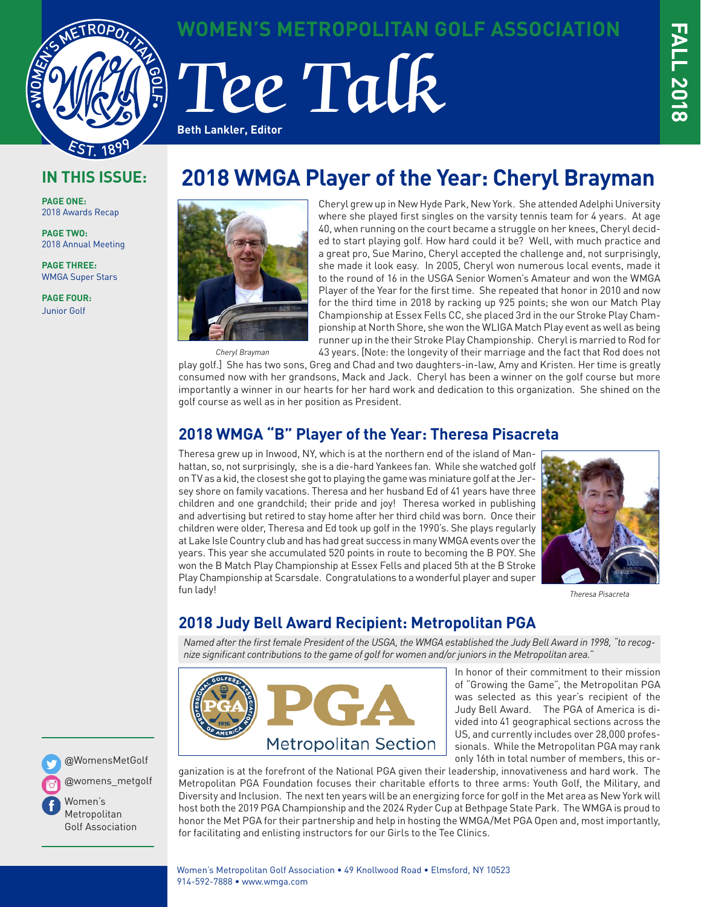

**WOMEN'S METROPOLITAN GOLF ASSOCIATION**

# Tee Talk **Beth Lankler, Editor**

### **IN THIS ISSUE:**

**PAGE ONE:** 2018 Awards Recap

**PAGE TWO:** 2018 Annual Meeting

**PAGE THREE:** WMGA Super Stars

**PAGE FOUR:** Junior Golf

# **2018 WMGA Player of the Year: Cheryl Brayman**



*Cheryl Brayman*

Cheryl grew up in New Hyde Park, New York. She attended Adelphi University where she played first singles on the varsity tennis team for 4 years. At age 40, when running on the court became a struggle on her knees, Cheryl decided to start playing golf. How hard could it be? Well, with much practice and a great pro, Sue Marino, Cheryl accepted the challenge and, not surprisingly, she made it look easy. In 2005, Cheryl won numerous local events, made it to the round of 16 in the USGA Senior Women's Amateur and won the WMGA Player of the Year for the first time. She repeated that honor in 2010 and now for the third time in 2018 by racking up 925 points; she won our Match Play Championship at Essex Fells CC, she placed 3rd in the our Stroke Play Championship at North Shore, she won the WLIGA Match Play event as well as being runner up in the their Stroke Play Championship. Cheryl is married to Rod for 43 years. [Note: the longevity of their marriage and the fact that Rod does not

play golf.] She has two sons, Greg and Chad and two daughters-in-law, Amy and Kristen. Her time is greatly consumed now with her grandsons, Mack and Jack. Cheryl has been a winner on the golf course but more importantly a winner in our hearts for her hard work and dedication to this organization. She shined on the golf course as well as in her position as President.

### **2018 WMGA "B" Player of the Year: Theresa Pisacreta**

Theresa grew up in Inwood, NY, which is at the northern end of the island of Manhattan, so, not surprisingly, she is a die-hard Yankees fan. While she watched golf on TV as a kid, the closest she got to playing the game was miniature golf at the Jersey shore on family vacations. Theresa and her husband Ed of 41 years have three children and one grandchild; their pride and joy! Theresa worked in publishing and advertising but retired to stay home after her third child was born. Once their children were older, Theresa and Ed took up golf in the 1990's. She plays regularly at Lake Isle Country club and has had great success in many WMGA events over the years. This year she accumulated 520 points in route to becoming the B POY. She won the B Match Play Championship at Essex Fells and placed 5th at the B Stroke Play Championship at Scarsdale. Congratulations to a wonderful player and super fun lady!



*Theresa Pisacreta*

### **2018 Judy Bell Award Recipient: Metropolitan PGA**

*Named after the first female President of the USGA, the WMGA established the Judy Bell Award in 1998, "to recognize significant contributions to the game of golf for women and/or juniors in the Metropolitan area."* 



In honor of their commitment to their mission of "Growing the Game", the Metropolitan PGA was selected as this year's recipient of the Judy Bell Award. The PGA of America is divided into 41 geographical sections across the US, and currently includes over 28,000 professionals. While the Metropolitan PGA may rank only 16th in total number of members, this or-

ganization is at the forefront of the National PGA given their leadership, innovativeness and hard work. The Metropolitan PGA Foundation focuses their charitable efforts to three arms: Youth Golf, the Military, and Diversity and Inclusion. The next ten years will be an energizing force for golf in the Met area as New York will host both the 2019 PGA Championship and the 2024 Ryder Cup at Bethpage State Park. The WMGA is proud to honor the Met PGA for their partnership and help in hosting the WMGA/Met PGA Open and, most importantly, for facilitating and enlisting instructors for our Girls to the Tee Clinics.

@WomensMetGolf

@womens\_metgolf

Women's Metropolitan Golf Association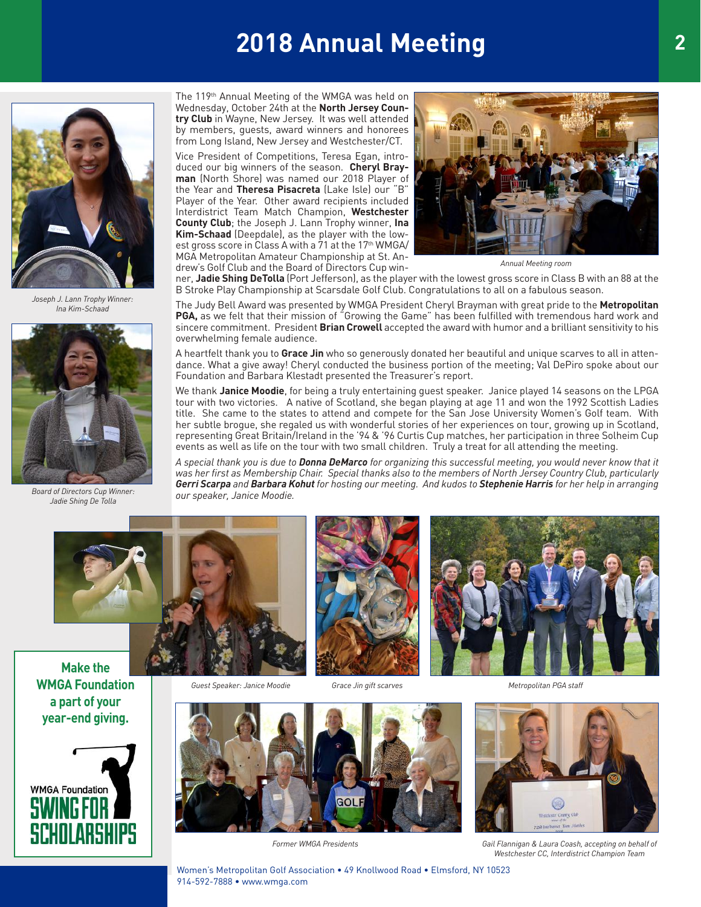# **2018 Annual Meeting**



*Joseph J. Lann Trophy Winner: Ina Kim-Schaad*



*Board of Directors Cup Winner: Jadie Shing De Tolla* **Ask your Metallies to help grow our speaker**, sannee moodie.

The 119th Annual Meeting of the WMGA was held on Wednesday, October 24th at the **North Jersey Country Club** in Wayne, New Jersey. It was well attended by members, guests, award winners and honorees from Long Island, New Jersey and Westchester/CT.

Vice President of Competitions, Teresa Egan, introduced our big winners of the season. **Cheryl Brayman** (North Shore) was named our 2018 Player of the Year and **Theresa Pisacreta** (Lake Isle) our "B" Player of the Year. Other award recipients included Interdistrict Team Match Champion, **Westchester County Club**; the Joseph J. Lann Trophy winner, **Ina Kim-Schaad** (Deepdale), as the player with the lowest gross score in Class A with a 71 at the 17<sup>th</sup> WMGA/ MGA Metropolitan Amateur Championship at St. Andrew's Golf Club and the Board of Directors Cup win-



*Annual Meeting room*

ner, **Jadie Shing DeTolla** (Port Jefferson), as the player with the lowest gross score in Class B with an 88 at the B Stroke Play Championship at Scarsdale Golf Club. Congratulations to all on a fabulous season.

The Judy Bell Award was presented by WMGA President Cheryl Brayman with great pride to the **Metropolitan PGA,** as we felt that their mission of "Growing the Game" has been fulfilled with tremendous hard work and sincere commitment. President **Brian Crowell** accepted the award with humor and a brilliant sensitivity to his overwhelming female audience.

A heartfelt thank you to **Grace Jin** who so generously donated her beautiful and unique scarves to all in attendance. What a give away! Cheryl conducted the business portion of the meeting; Val DePiro spoke about our Foundation and Barbara Klestadt presented the Treasurer's report.

We thank **Janice Moodie**, for being a truly entertaining guest speaker. Janice played 14 seasons on the LPGA tour with two victories. A native of Scotland, she began playing at age 11 and won the 1992 Scottish Ladies title. She came to the states to attend and compete for the San Jose University Women's Golf team. With her subtle brogue, she regaled us with wonderful stories of her experiences on tour, growing up in Scotland, representing Great Britain/Ireland in the '94 & '96 Curtis Cup matches, her participation in three Solheim Cup events as well as life on the tour with two small children. Truly a treat for all attending the meeting.

Events as well as the on the tour with two small children. Thuly a treat for all attending the meeting.<br>A special thank you is due to **Donna DeMarco** for organizing this successful meeting, you would never know that it was her first as Membership Chair. Special thanks also to the members of North Jersey Country Club, particularly was her first as Membership Chair. Special thanks also to the members of North Jersey Country Club, particula Board of Directors Cup Winner: Carry and Barbara Kohut for hosting our meeting. And kudos to Stephenie Harris for her help in arranging *our speaker, Janice Moodie.*



*Guest Speaker: Janice Moodie*





generous are many organizations that we know the state are worthy or your donations that are worthy of your donations, and you do not your double with the state of your double with the state of your double with the state o **WMGA Foundation in Figure 1** Guest Speaker: Janice Moodie 6 Grace Jin gift scarv **a part of your year-end giving.**



 $\mathsf{V}\mathsf{P}\mathsf{a}\mathsf{r}\mathsf{a}$  Foundation  $\mathsf{V}\mathsf{B}\mathsf{B}\mathsf{a}$ GO

*Former WMGA Presidents*



*Gail Flannigan & Laura Coash, accepting on behalf of Westchester CC, Interdistrict Champion Team*

Women's Metropolitan Golf Association • 49 Knollwood Road • Elmsford, NY 10523 914-592-7888 • www.wmga.com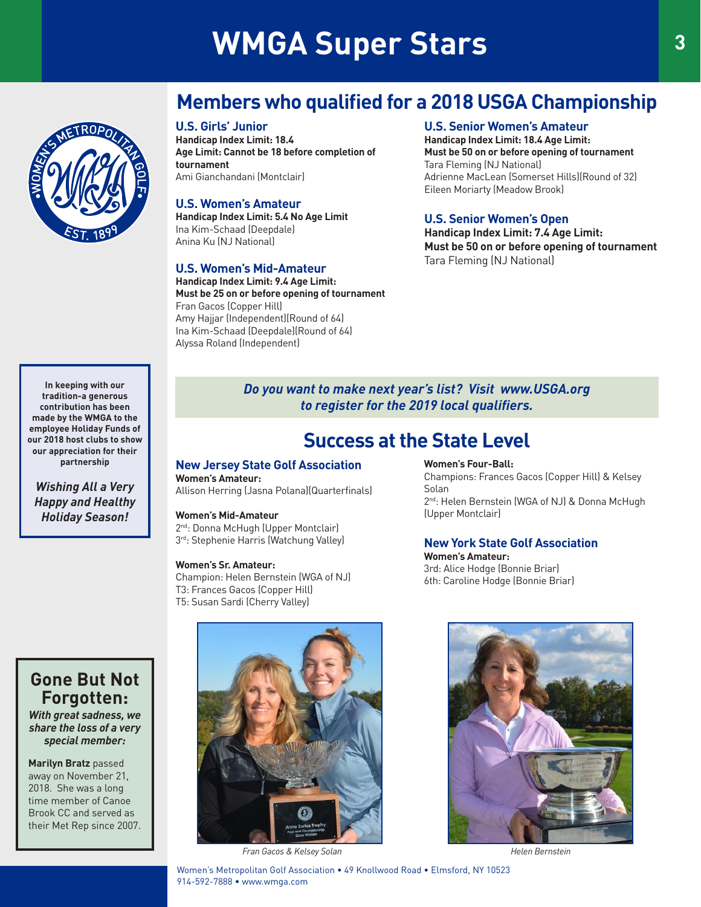# **WMGA Super Stars 3** 3

# **Members who qualified for a 2018 USGA Championship**

#### **U.S. Girls' Junior**

**Handicap Index Limit: 18.4 Age Limit: Cannot be 18 before completion of tournament** Ami Gianchandani (Montclair)

#### **U.S. Women's Amateur**

**Handicap Index Limit: 5.4 No Age Limit** Ina Kim-Schaad (Deepdale) Anina Ku (NJ National)

#### **U.S. Women's Mid-Amateur**

**Handicap Index Limit: 9.4 Age Limit: Must be 25 on or before opening of tournament** Fran Gacos (Copper Hill) Amy Hajjar (Independent)(Round of 64) Ina Kim-Schaad (Deepdale)(Round of 64) Alyssa Roland (Independent)

#### **U.S. Senior Women's Amateur**

**Handicap Index Limit: 18.4 Age Limit: Must be 50 on or before opening of tournament** Tara Fleming (NJ National) Adrienne MacLean (Somerset Hills)(Round of 32) Eileen Moriarty (Meadow Brook)

#### **U.S. Senior Women's Open**

**Handicap Index Limit: 7.4 Age Limit: Must be 50 on or before opening of tournament** Tara Fleming (NJ National)

**In keeping with our tradition-a generous contribution has been made by the WMGA to the employee Holiday Funds of our 2018 host clubs to show our appreciation for their partnership**

*Wishing All a Very Happy and Healthy Holiday Season!*

*Do you want to make next year's list? Visit www.USGA.org to register for the 2019 local qualifiers.*

## **Success at the State Level**

#### **New Jersey State Golf Association Women's Amateur:** Allison Herring (Jasna Polana)(Quarterfinals)

**Women's Mid-Amateur**

2<sup>nd</sup>: Donna McHugh (Upper Montclair) 3rd: Stephenie Harris (Watchung Valley)

#### **Women's Sr. Amateur:**

Champion: Helen Bernstein (WGA of NJ) T3: Frances Gacos (Copper Hill) T5: Susan Sardi (Cherry Valley)

#### **Women's Four-Ball:**

Champions: Frances Gacos (Copper Hill) & Kelsey Solan 2<sup>nd</sup>: Helen Bernstein (WGA of NJ) & Donna McHugh (Upper Montclair)

#### **New York State Golf Association**

**Women's Amateur:** 3rd: Alice Hodge (Bonnie Briar) 6th: Caroline Hodge (Bonnie Briar)



*With great sadness, we share the loss of a very special member:*

**Marilyn Bratz** passed away on November 21, 2018. She was a long time member of Canoe Brook CC and served as their Met Rep since 2007.



*Fran Gacos & Kelsey Solan Helen Bernstein*

#### Women's Metropolitan Golf Association • 49 Knollwood Road • Elmsford, NY 10523 914-592-7888 • www.wmga.com